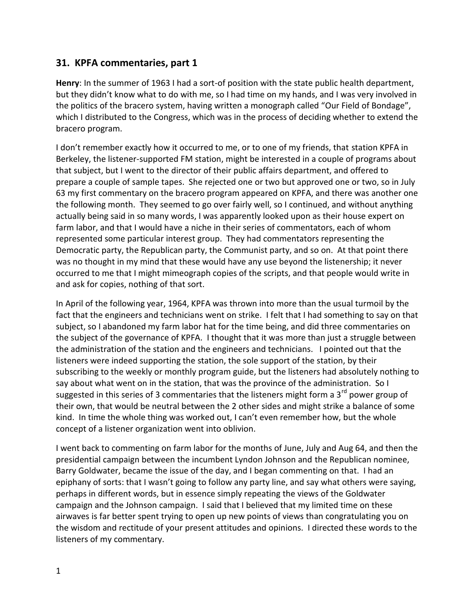## **31. KPFA commentaries, part 1**

**Henry**: In the summer of 1963 I had a sort-of position with the state public health department, but they didn't know what to do with me, so I had time on my hands, and I was very involved in the politics of the bracero system, having written a monograph called "Our Field of Bondage", which I distributed to the Congress, which was in the process of deciding whether to extend the bracero program.

I don't remember exactly how it occurred to me, or to one of my friends, that station KPFA in Berkeley, the listener-supported FM station, might be interested in a couple of programs about that subject, but I went to the director of their public affairs department, and offered to prepare a couple of sample tapes. She rejected one or two but approved one or two, so in July 63 my first commentary on the bracero program appeared on KPFA, and there was another one the following month. They seemed to go over fairly well, so I continued, and without anything actually being said in so many words, I was apparently looked upon as their house expert on farm labor, and that I would have a niche in their series of commentators, each of whom represented some particular interest group. They had commentators representing the Democratic party, the Republican party, the Communist party, and so on. At that point there was no thought in my mind that these would have any use beyond the listenership; it never occurred to me that I might mimeograph copies of the scripts, and that people would write in and ask for copies, nothing of that sort.

In April of the following year, 1964, KPFA was thrown into more than the usual turmoil by the fact that the engineers and technicians went on strike. I felt that I had something to say on that subject, so I abandoned my farm labor hat for the time being, and did three commentaries on the subject of the governance of KPFA. I thought that it was more than just a struggle between the administration of the station and the engineers and technicians. I pointed out that the listeners were indeed supporting the station, the sole support of the station, by their subscribing to the weekly or monthly program guide, but the listeners had absolutely nothing to say about what went on in the station, that was the province of the administration. So I suggested in this series of 3 commentaries that the listeners might form a 3<sup>rd</sup> power group of their own, that would be neutral between the 2 other sides and might strike a balance of some kind. In time the whole thing was worked out, I can't even remember how, but the whole concept of a listener organization went into oblivion.

I went back to commenting on farm labor for the months of June, July and Aug 64, and then the presidential campaign between the incumbent Lyndon Johnson and the Republican nominee, Barry Goldwater, became the issue of the day, and I began commenting on that. I had an epiphany of sorts: that I wasn't going to follow any party line, and say what others were saying, perhaps in different words, but in essence simply repeating the views of the Goldwater campaign and the Johnson campaign. I said that I believed that my limited time on these airwaves is far better spent trying to open up new points of views than congratulating you on the wisdom and rectitude of your present attitudes and opinions. I directed these words to the listeners of my commentary.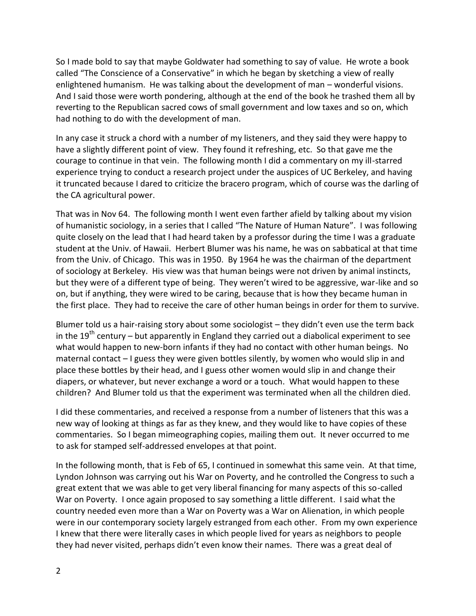So I made bold to say that maybe Goldwater had something to say of value. He wrote a book called "The Conscience of a Conservative" in which he began by sketching a view of really enlightened humanism. He was talking about the development of man – wonderful visions. And I said those were worth pondering, although at the end of the book he trashed them all by reverting to the Republican sacred cows of small government and low taxes and so on, which had nothing to do with the development of man.

In any case it struck a chord with a number of my listeners, and they said they were happy to have a slightly different point of view. They found it refreshing, etc. So that gave me the courage to continue in that vein. The following month I did a commentary on my ill-starred experience trying to conduct a research project under the auspices of UC Berkeley, and having it truncated because I dared to criticize the bracero program, which of course was the darling of the CA agricultural power.

That was in Nov 64. The following month I went even farther afield by talking about my vision of humanistic sociology, in a series that I called "The Nature of Human Nature". I was following quite closely on the lead that I had heard taken by a professor during the time I was a graduate student at the Univ. of Hawaii. Herbert Blumer was his name, he was on sabbatical at that time from the Univ. of Chicago. This was in 1950. By 1964 he was the chairman of the department of sociology at Berkeley. His view was that human beings were not driven by animal instincts, but they were of a different type of being. They weren't wired to be aggressive, war-like and so on, but if anything, they were wired to be caring, because that is how they became human in the first place. They had to receive the care of other human beings in order for them to survive.

Blumer told us a hair-raising story about some sociologist – they didn't even use the term back in the  $19<sup>th</sup>$  century – but apparently in England they carried out a diabolical experiment to see what would happen to new-born infants if they had no contact with other human beings. No maternal contact – I guess they were given bottles silently, by women who would slip in and place these bottles by their head, and I guess other women would slip in and change their diapers, or whatever, but never exchange a word or a touch. What would happen to these children? And Blumer told us that the experiment was terminated when all the children died.

I did these commentaries, and received a response from a number of listeners that this was a new way of looking at things as far as they knew, and they would like to have copies of these commentaries. So I began mimeographing copies, mailing them out. It never occurred to me to ask for stamped self-addressed envelopes at that point.

In the following month, that is Feb of 65, I continued in somewhat this same vein. At that time, Lyndon Johnson was carrying out his War on Poverty, and he controlled the Congress to such a great extent that we was able to get very liberal financing for many aspects of this so-called War on Poverty. I once again proposed to say something a little different. I said what the country needed even more than a War on Poverty was a War on Alienation, in which people were in our contemporary society largely estranged from each other. From my own experience I knew that there were literally cases in which people lived for years as neighbors to people they had never visited, perhaps didn't even know their names. There was a great deal of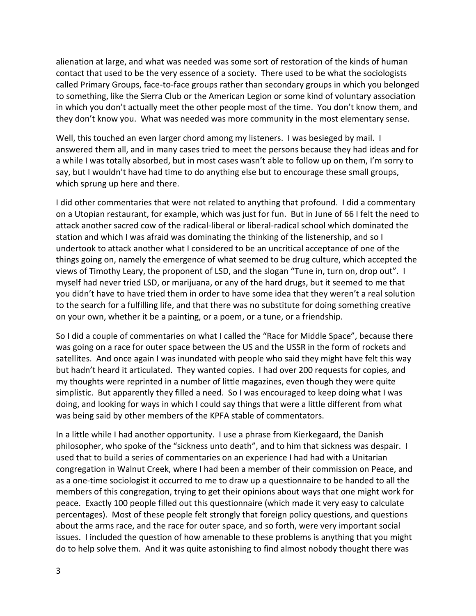alienation at large, and what was needed was some sort of restoration of the kinds of human contact that used to be the very essence of a society. There used to be what the sociologists called Primary Groups, face-to-face groups rather than secondary groups in which you belonged to something, like the Sierra Club or the American Legion or some kind of voluntary association in which you don't actually meet the other people most of the time. You don't know them, and they don't know you. What was needed was more community in the most elementary sense.

Well, this touched an even larger chord among my listeners. I was besieged by mail. I answered them all, and in many cases tried to meet the persons because they had ideas and for a while I was totally absorbed, but in most cases wasn't able to follow up on them, I'm sorry to say, but I wouldn't have had time to do anything else but to encourage these small groups, which sprung up here and there.

I did other commentaries that were not related to anything that profound. I did a commentary on a Utopian restaurant, for example, which was just for fun. But in June of 66 I felt the need to attack another sacred cow of the radical-liberal or liberal-radical school which dominated the station and which I was afraid was dominating the thinking of the listenership, and so I undertook to attack another what I considered to be an uncritical acceptance of one of the things going on, namely the emergence of what seemed to be drug culture, which accepted the views of Timothy Leary, the proponent of LSD, and the slogan "Tune in, turn on, drop out". I myself had never tried LSD, or marijuana, or any of the hard drugs, but it seemed to me that you didn't have to have tried them in order to have some idea that they weren't a real solution to the search for a fulfilling life, and that there was no substitute for doing something creative on your own, whether it be a painting, or a poem, or a tune, or a friendship.

So I did a couple of commentaries on what I called the "Race for Middle Space", because there was going on a race for outer space between the US and the USSR in the form of rockets and satellites. And once again I was inundated with people who said they might have felt this way but hadn't heard it articulated. They wanted copies. I had over 200 requests for copies, and my thoughts were reprinted in a number of little magazines, even though they were quite simplistic. But apparently they filled a need. So I was encouraged to keep doing what I was doing, and looking for ways in which I could say things that were a little different from what was being said by other members of the KPFA stable of commentators.

In a little while I had another opportunity. I use a phrase from Kierkegaard, the Danish philosopher, who spoke of the "sickness unto death", and to him that sickness was despair. I used that to build a series of commentaries on an experience I had had with a Unitarian congregation in Walnut Creek, where I had been a member of their commission on Peace, and as a one-time sociologist it occurred to me to draw up a questionnaire to be handed to all the members of this congregation, trying to get their opinions about ways that one might work for peace. Exactly 100 people filled out this questionnaire (which made it very easy to calculate percentages). Most of these people felt strongly that foreign policy questions, and questions about the arms race, and the race for outer space, and so forth, were very important social issues. I included the question of how amenable to these problems is anything that you might do to help solve them. And it was quite astonishing to find almost nobody thought there was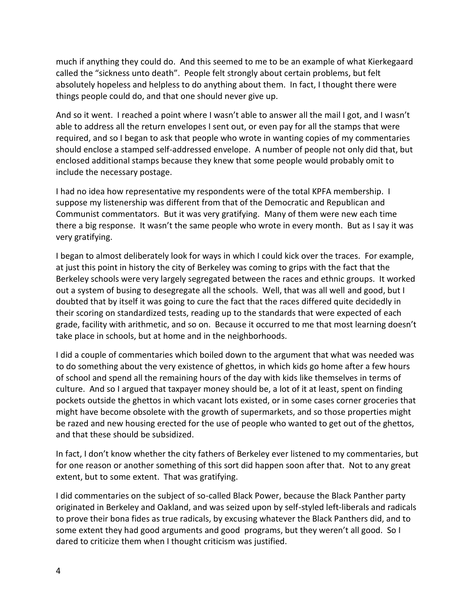much if anything they could do. And this seemed to me to be an example of what Kierkegaard called the "sickness unto death". People felt strongly about certain problems, but felt absolutely hopeless and helpless to do anything about them. In fact, I thought there were things people could do, and that one should never give up.

And so it went. I reached a point where I wasn't able to answer all the mail I got, and I wasn't able to address all the return envelopes I sent out, or even pay for all the stamps that were required, and so I began to ask that people who wrote in wanting copies of my commentaries should enclose a stamped self-addressed envelope. A number of people not only did that, but enclosed additional stamps because they knew that some people would probably omit to include the necessary postage.

I had no idea how representative my respondents were of the total KPFA membership. I suppose my listenership was different from that of the Democratic and Republican and Communist commentators. But it was very gratifying. Many of them were new each time there a big response. It wasn't the same people who wrote in every month. But as I say it was very gratifying.

I began to almost deliberately look for ways in which I could kick over the traces. For example, at just this point in history the city of Berkeley was coming to grips with the fact that the Berkeley schools were very largely segregated between the races and ethnic groups. It worked out a system of busing to desegregate all the schools. Well, that was all well and good, but I doubted that by itself it was going to cure the fact that the races differed quite decidedly in their scoring on standardized tests, reading up to the standards that were expected of each grade, facility with arithmetic, and so on. Because it occurred to me that most learning doesn't take place in schools, but at home and in the neighborhoods.

I did a couple of commentaries which boiled down to the argument that what was needed was to do something about the very existence of ghettos, in which kids go home after a few hours of school and spend all the remaining hours of the day with kids like themselves in terms of culture. And so I argued that taxpayer money should be, a lot of it at least, spent on finding pockets outside the ghettos in which vacant lots existed, or in some cases corner groceries that might have become obsolete with the growth of supermarkets, and so those properties might be razed and new housing erected for the use of people who wanted to get out of the ghettos, and that these should be subsidized.

In fact, I don't know whether the city fathers of Berkeley ever listened to my commentaries, but for one reason or another something of this sort did happen soon after that. Not to any great extent, but to some extent. That was gratifying.

I did commentaries on the subject of so-called Black Power, because the Black Panther party originated in Berkeley and Oakland, and was seized upon by self-styled left-liberals and radicals to prove their bona fides as true radicals, by excusing whatever the Black Panthers did, and to some extent they had good arguments and good programs, but they weren't all good. So I dared to criticize them when I thought criticism was justified.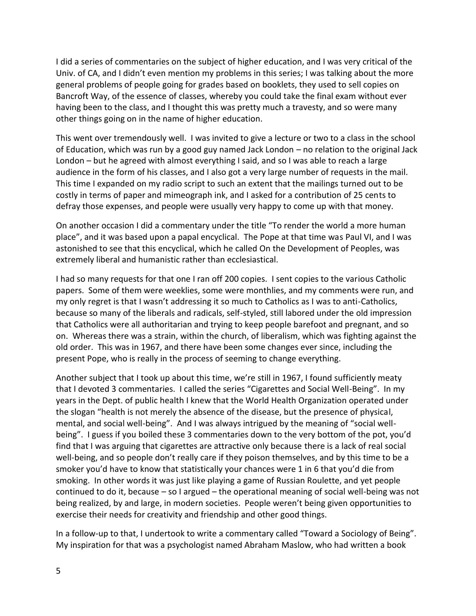I did a series of commentaries on the subject of higher education, and I was very critical of the Univ. of CA, and I didn't even mention my problems in this series; I was talking about the more general problems of people going for grades based on booklets, they used to sell copies on Bancroft Way, of the essence of classes, whereby you could take the final exam without ever having been to the class, and I thought this was pretty much a travesty, and so were many other things going on in the name of higher education.

This went over tremendously well. I was invited to give a lecture or two to a class in the school of Education, which was run by a good guy named Jack London – no relation to the original Jack London – but he agreed with almost everything I said, and so I was able to reach a large audience in the form of his classes, and I also got a very large number of requests in the mail. This time I expanded on my radio script to such an extent that the mailings turned out to be costly in terms of paper and mimeograph ink, and I asked for a contribution of 25 cents to defray those expenses, and people were usually very happy to come up with that money.

On another occasion I did a commentary under the title "To render the world a more human place", and it was based upon a papal encyclical. The Pope at that time was Paul VI, and I was astonished to see that this encyclical, which he called On the Development of Peoples, was extremely liberal and humanistic rather than ecclesiastical.

I had so many requests for that one I ran off 200 copies. I sent copies to the various Catholic papers. Some of them were weeklies, some were monthlies, and my comments were run, and my only regret is that I wasn't addressing it so much to Catholics as I was to anti-Catholics, because so many of the liberals and radicals, self-styled, still labored under the old impression that Catholics were all authoritarian and trying to keep people barefoot and pregnant, and so on. Whereas there was a strain, within the church, of liberalism, which was fighting against the old order. This was in 1967, and there have been some changes ever since, including the present Pope, who is really in the process of seeming to change everything.

Another subject that I took up about this time, we're still in 1967, I found sufficiently meaty that I devoted 3 commentaries. I called the series "Cigarettes and Social Well-Being". In my years in the Dept. of public health I knew that the World Health Organization operated under the slogan "health is not merely the absence of the disease, but the presence of physical, mental, and social well-being". And I was always intrigued by the meaning of "social well being". I guess if you boiled these 3 commentaries down to the very bottom of the pot, you'd find that I was arguing that cigarettes are attractive only because there is a lack of real social well-being, and so people don't really care if they poison themselves, and by this time to be a smoker you'd have to know that statistically your chances were 1 in 6 that you'd die from smoking. In other words it was just like playing a game of Russian Roulette, and yet people continued to do it, because – so I argued – the operational meaning of social well-being was not being realized, by and large, in modern societies. People weren't being given opportunities to exercise their needs for creativity and friendship and other good things.

In a follow-up to that, I undertook to write a commentary called "Toward a Sociology of Being". My inspiration for that was a psychologist named Abraham Maslow, who had written a book